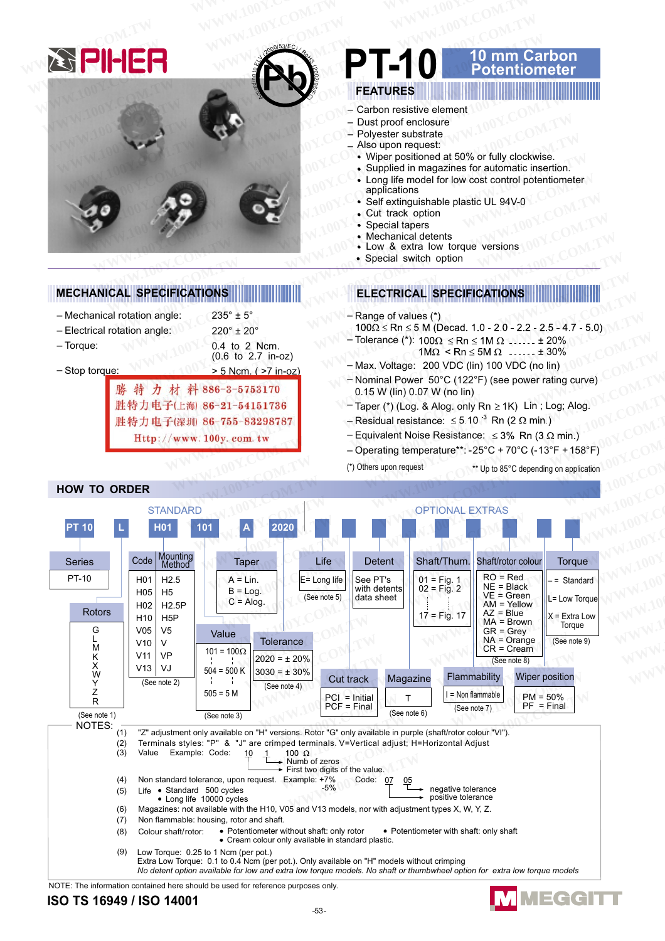

 $235^{\circ} \pm 5^{\circ}$ 

 $220^\circ \pm 20^\circ$ 

特力材料886-3-5753170

胜特力电子(深圳) 86-755-83298787

Http://www.100y.com.tw

胜特力电子(上海) 86-21-54151736

0.4 to 2 Ncm.

 $(0.6 \text{ to } 2.7 \text{ in } -0z)$ 

> 5 Ncm. ( > 7 in-oz)

**MECHANICAL SPECIFICATIONS** 

- Mechanical rotation angle:

- Electrical rotation angle:

- Torque:

 $-$  Stop torque:

#### arbon mm otentiometer

# **FFATURES**

- Carbon resistive element
- Dust proof enclosure
- Polvester substrate
- Also upon request:
- Wiper positioned at 50% or fully clockwise.
- Supplied in magazines for automatic insertion.
- · Long life model for low cost control potentiometer applications
- · Self extinguishable plastic UL 94V-0
- Cut track option
- $\bullet$ Special tapers
- Mechanical detents
- Low & extra low torque versions
- Special switch option

## **ELECTRICAL SPECIFICATIONS**

- Range of values (\*)
- $100\Omega \le Rn \le 5$  M (Decad. 1.0 2.0 2.2 2.5 4.7 5.0)
- Tolerance (\*):  $100\Omega \le Rn \le 1M \Omega$  ...... ± 20%  $1M\Omega < Rn \le 5M \Omega$  ...... ± 30%
- Max. Voltage: 200 VDC (lin) 100 VDC (no lin) - Nominal Power 50°C (122°F) (see power rating curve)
- 0.15 W (lin) 0.07 W (no lin)
- Taper (\*) (Log. & Alog. only Rn ≥ 1K) Lin; Log; Alog.
- Residual resistance:  $\leq 5.10^{-3}$  Rn (2  $\Omega$  min.)
- Equivalent Noise Resistance:  $\leq 3\%$  Rn (3  $\Omega$  min.)
- Operating temperature\*\*: -25°C + 70°C (-13°F + 158°F)
- (\*) Others upon request \*\* Up to 85°C depending on application

**MMEGGIT** 



### NOTE: The information contained here should be used for reference purposes only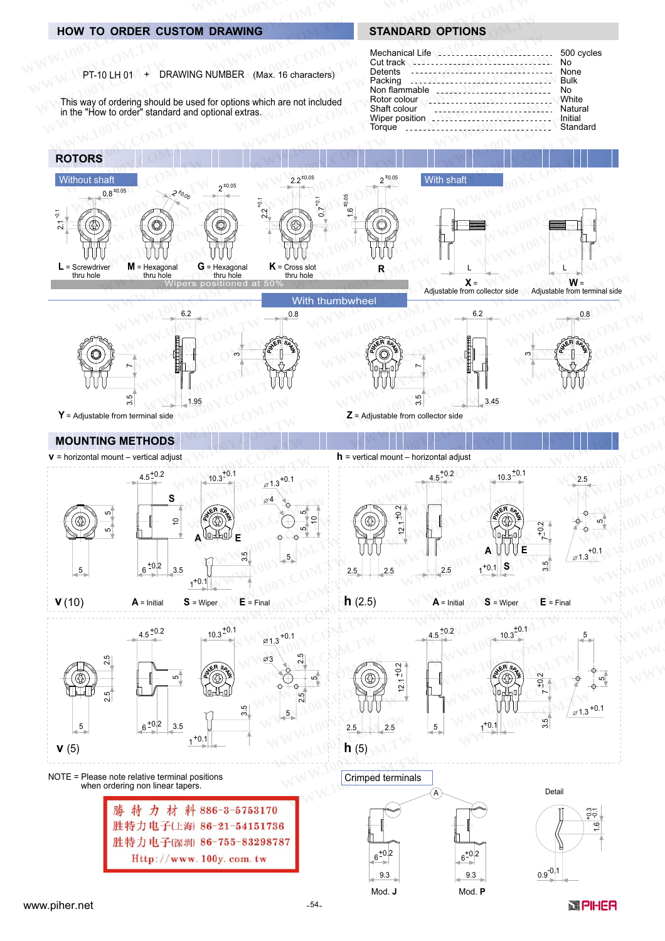## **HOW TO ORDER CUSTOM DRAWING**

## **STANDARD OPTIONS**

500 cycles

No

None

**Bulk** 

White

Natural

**No** 

Mechanical Life

Non flammable

Rotor colour

Shaft colour

Cut track

Detents

Packing

| PT-10 LH 01 | DRAWING NUMBER (Max. 16 characters) |  |
|-------------|-------------------------------------|--|
|-------------|-------------------------------------|--|

This way of ordering should be used for options which are not included in the "How to order" standard and optional extras.



 $9.3$ 

Mod. J

 $9.3$ 

Mod. P

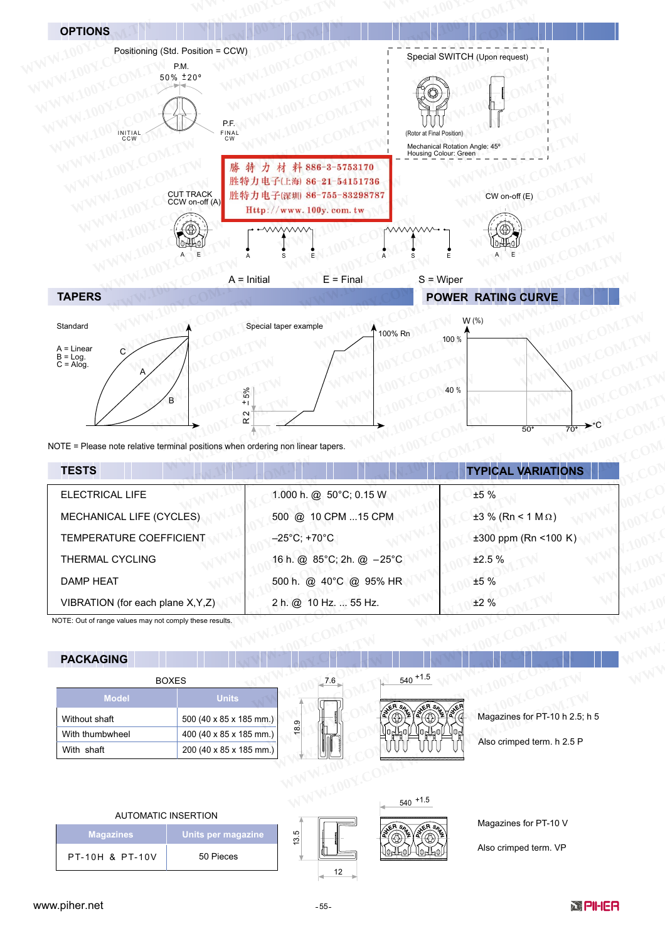

| <b>TESTS</b>                       |                                   | <b>TYPICAL VARIATIONS</b>       |  |
|------------------------------------|-----------------------------------|---------------------------------|--|
| ELECTRICAL LIFE                    | 1.000 h. @ 50°C; 0.15 W           | ±5%                             |  |
| <b>MECHANICAL LIFE (CYCLES)</b>    | 500 @ 10 CPM 15 CPM               | $\pm 3 \%$ (Rn < 1 M $\Omega$ ) |  |
| TEMPERATURE COEFFICIENT            | $-25^{\circ}$ C; +70 $^{\circ}$ C | $\pm 300$ ppm (Rn <100 K)       |  |
| <b>THERMAL CYCLING</b>             | 16 h. @ 85°C; 2h. @ -25°C         | ±2.5%                           |  |
| DAMP HEAT                          | 500 h. @ 40°C @ 95% HR            | ±5%                             |  |
| VIBRATION (for each plane X, Y, Z) | 2 h. @ 10 Hz.  55 Hz.             | ±2%                             |  |

NOTE: Out of range values may not comply these results.

# **PACKAGING**



## **AUTOMATIC INSERTION**

| <b>Magazines</b>           | Units per magazine, |  |
|----------------------------|---------------------|--|
| <b>PT-10H &amp; PT-10V</b> | 50 Pieces           |  |



10AF01

Jlo-

Magazines for PT-10 V

Also crimped term. VP